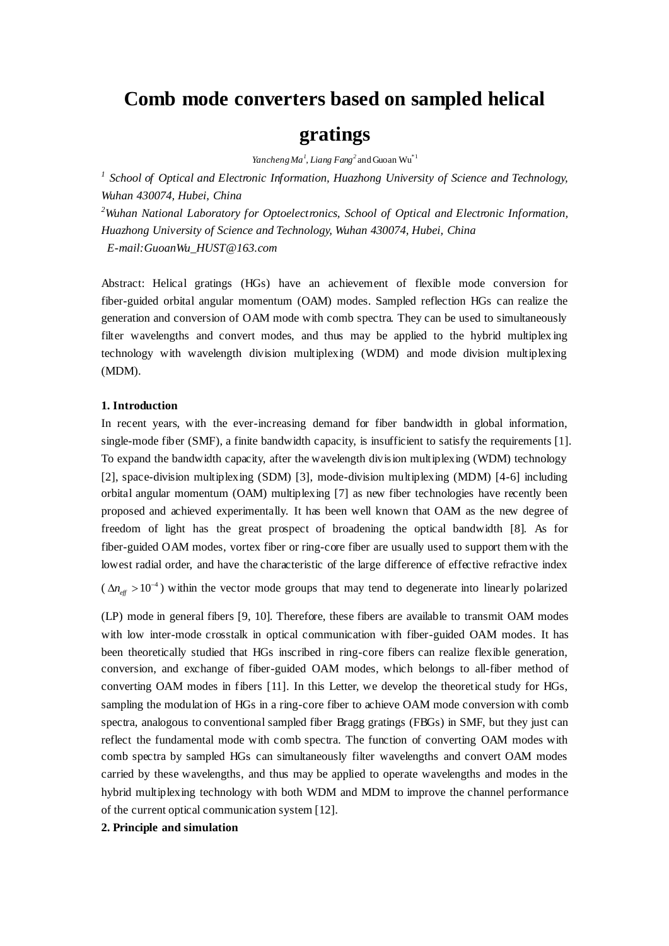# **Comb mode converters based on sampled helical**

# **gratings**

*Yancheng Ma<sup>1</sup>* , *Liang Fang<sup>2</sup>* and Guoan Wu\*1

<sup>1</sup> School of Optical and Electronic Information, Huazhong University of Science and Technology, *Wuhan 430074, Hubei, China*

*<sup>2</sup>Wuhan National Laboratory for Optoelectronics, School of Optical and Electronic Information, Huazhong University of Science and Technology, Wuhan 430074, Hubei, China E-mail:GuoanWu\_HUST@163.com*

Abstract: Helical gratings (HGs) have an achievement of flexible mode conversion for fiber-guided orbital angular momentum (OAM) modes. Sampled reflection HGs can realize the generation and conversion of OAM mode with comb spectra. They can be used to simultaneously filter wavelengths and convert modes, and thus may be applied to the hybrid multiplex ing technology with wavelength division multiplexing (WDM) and mode division multiplexing (MDM).

### **1. Introduction**

In recent years, with the ever-increasing demand for fiber bandwidth in global information, single-mode fiber (SMF), a finite bandwidth capacity, is insufficient to satisfy the requirements [1]. To expand the bandwidth capacity, after the wavelength division multiplexing (WDM) technology [2], space-division multiplexing (SDM) [3], mode-division multiplexing (MDM) [4-6] including orbital angular momentum (OAM) multiplexing [7] as new fiber technologies have recently been proposed and achieved experimentally. It has been well known that OAM as the new degree of freedom of light has the great prospect of broadening the optical bandwidth [8]. As for fiber-guided OAM modes, vortex fiber or ring-core fiber are usually used to support them with the lowest radial order, and have the characteristic of the large difference of effective refractive index

 $(\Delta n_{\text{eff}} > 10^{-4})$  within the vector mode groups that may tend to degenerate into linearly polarized

(LP) mode in general fibers [9, 10]. Therefore, these fibers are available to transmit OAM modes with low inter-mode crosstalk in optical communication with fiber-guided OAM modes. It has been theoretically studied that HGs inscribed in ring-core fibers can realize flexible generation, conversion, and exchange of fiber-guided OAM modes, which belongs to all-fiber method of converting OAM modes in fibers [11]. In this Letter, we develop the theoretical study for HGs, sampling the modulation of HGs in a ring-core fiber to achieve OAM mode conversion with comb spectra, analogous to conventional sampled fiber Bragg gratings (FBGs) in SMF, but they just can reflect the fundamental mode with comb spectra. The function of converting OAM modes with comb spectra by sampled HGs can simultaneously filter wavelengths and convert OAM modes carried by these wavelengths, and thus may be applied to operate wavelengths and modes in the hybrid multiplexing technology with both WDM and MDM to improve the channel performance of the current optical communication system [12].

## **2. Principle and simulation**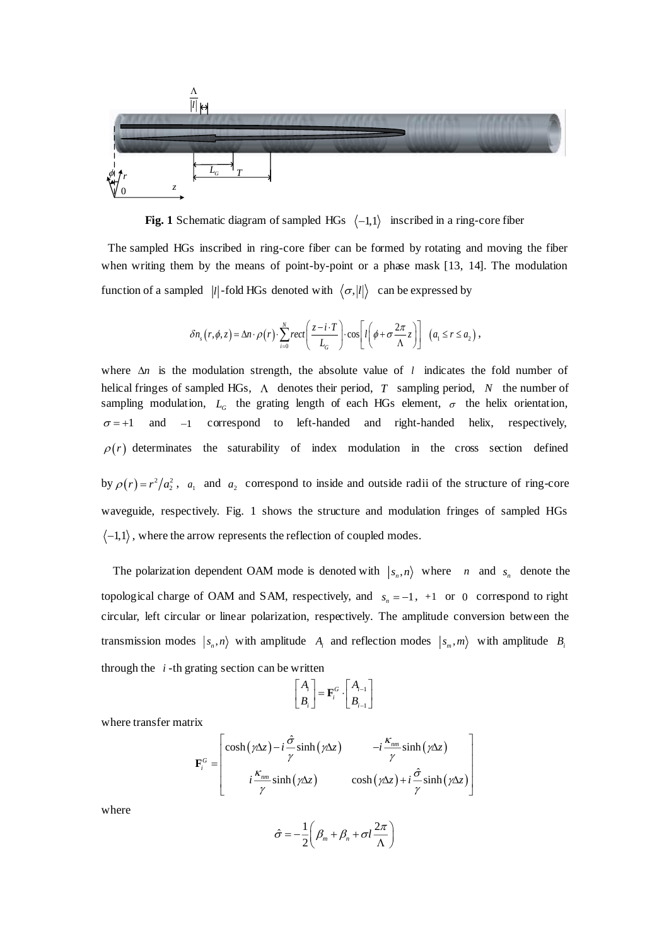

**Fig. 1** Schematic diagram of sampled  $HGs \langle -1,1 \rangle$  inscribed in a ring-core fiber

The sampled HGs inscribed in ring-core fiber can be formed by rotating and moving the fiber when writing them by the means of point-by-point or a phase mask [13, 14]. The modulation function of a sampled |*l*|-fold HGs denoted with  $\langle \sigma, |l| \rangle$  can be expressed by

$$
\delta n_s(r,\phi,z) = \Delta n \cdot \rho(r) \cdot \sum_{i=0}^N rect\left(\frac{z-i \cdot T}{L_G}\right) \cdot \cos\left[l\left(\phi + \sigma \frac{2\pi}{\Lambda} z\right)\right] \left(a_1 \leq r \leq a_2\right),
$$

where  $\Delta n$  is the modulation strength, the absolute value of l indicates the fold number of helical fringes of sampled HGs,  $\Lambda$  denotes their period, T sampling period, N the number of sampling modulation,  $L_G$  the grating length of each HGs element,  $\sigma$  the helix orientation,  $\sigma = +1$ and  $-1$ correspond to left-handed and right-handed helix, respectively,  $\rho(r)$  determinates the saturability of index modulation in the cross section defined by  $\rho(r) = r^2/a_2^2$ ,  $a_1$  and  $a_2$  correspond to inside and outside radii of the structure of ring-core waveguide, respectively. Fig. 1 shows the structure and modulation fringes of sampled HGs  $-1,1$ , where the arrow represents the reflection of coupled modes.

The polarization dependent OAM mode is denoted with  $|s_n, n\rangle$  where *n* and  $s_n$  denote the topological charge of OAM and SAM, respectively, and  $s_n = -1$ ,  $+1$  or 0 correspond to right circular, left circular or linear polarization, respectively. The amplitude conversion between the transmission modes  $|s_n, n\rangle$  with amplitude  $A_i$  and reflection modes  $|s_m, m\rangle$  with amplitude  $B_i$ through the *i* -th grating section can be written

$$
\begin{bmatrix} A_i \\ B_i \end{bmatrix} = \mathbf{F}_i^G \cdot \begin{bmatrix} A_{i-1} \\ B_{i-1} \end{bmatrix}
$$

where transfer matrix

$$
\mathbf{F}_{i}^{G} = \begin{bmatrix} \cosh(\gamma \Delta z) - i \frac{\hat{\sigma}}{\gamma} \sinh(\gamma \Delta z) & -i \frac{K_{nm}}{\gamma} \sinh(\gamma \Delta z) \\ i \frac{K_{nm}}{\gamma} \sinh(\gamma \Delta z) & \cosh(\gamma \Delta z) + i \frac{\hat{\sigma}}{\gamma} \sinh(\gamma \Delta z) \end{bmatrix}
$$

where

$$
\hat{\sigma} = -\frac{1}{2} \left( \beta_m + \beta_n + \sigma l \frac{2\pi}{\Lambda} \right)
$$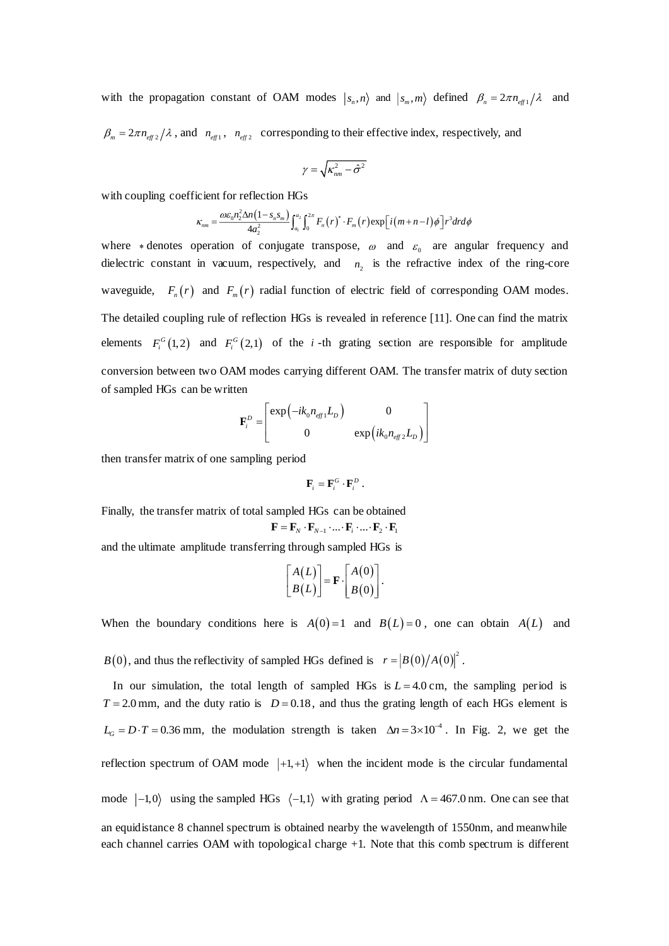with the propagation constant of OAM modes  $|s_n, n\rangle$  and  $|s_m, m\rangle$  defined  $\beta_n = 2\pi n_{eff} / \lambda$  and

 $\beta_m = 2\pi n_{\text{eff 2}}/\lambda$ , and  $n_{\text{eff 1}}$ ,  $n_{\text{eff 2}}$  corresponding to their effective index, respectively, and

$$
\gamma=\sqrt{\kappa_{nm}^2-\hat{\sigma}^2}
$$

with coupling coefficient for reflection HGs

$$
\kappa_{nm} = \frac{\omega \varepsilon_0 n_2^2 \Delta n \left(1 - s_n s_m\right)}{4a_2^2} \int_{a_1}^{a_2} \int_0^{2\pi} F_n(r)^* \cdot F_m(r) \exp\left[i\left(m+n-l\right)\phi\right] r^3 dr d\phi
$$

where  $*$  denotes operation of conjugate transpose,  $\omega$  and  $\varepsilon_0$  are angular frequency and dielectric constant in vacuum, respectively, and  $n_2$  is the refractive index of the ring-core waveguide,  $F_n(r)$  and  $F_m(r)$  radial function of electric field of corresponding OAM modes. The detailed coupling rule of reflection HGs is revealed in reference [11]. One can find the matrix elements  $F_i^G(1,2)$  and  $F_i^G(2,1)$  of the *i*-th grating section are responsible for amplitude conversion between two OAM modes carrying different OAM. The transfer matrix of duty section of sampled HGs can be written

$$
\mathbf{F}_{i}^{D} = \begin{bmatrix} \exp\left(-ik_{0}n_{\text{eff1}}L_{D}\right) & 0\\ 0 & \exp\left(ik_{0}n_{\text{eff2}}L_{D}\right) \end{bmatrix}
$$

then transfer matrix of one sampling period

$$
\mathbf{F}_i = \mathbf{F}_i^G \cdot \mathbf{F}_i^D.
$$

Finally, the transfer matrix of total sampled HGs can be obtained  $\mathbf{F} = \mathbf{F}_N \cdot \mathbf{F}_{N-1} \cdot ... \cdot \mathbf{F}_i \cdot ... \cdot \mathbf{F}_2 \cdot \mathbf{F}_1$ 

and the ultimate amplitude transferring through sampled HGs is

$$
\begin{bmatrix} A(L) \\ B(L) \end{bmatrix} = \mathbf{F} \cdot \begin{bmatrix} A(0) \\ B(0) \end{bmatrix}.
$$

When the boundary conditions here is  $A(0)=1$  and  $B(L)=0$ , one can obtain  $A(L)$  and

 $B(0)$ , and thus the reflectivity of sampled HGs defined is  $r = |B(0)/A(0)|^2$ .

In our simulation, the total length of sampled HGs is  $L = 4.0 \text{ cm}$ , the sampling period is  $T = 2.0$  mm, and the duty ratio is  $D = 0.18$ , and thus the grating length of each HGs element is  $L_G = D \cdot T = 0.36$  mm, the modulation strength is taken  $\Delta n = 3 \times 10^{-4}$ . In Fig. 2, we get the reflection spectrum of OAM mode  $|+1, +1\rangle$  when the incident mode is the circular fundamental mode  $\vert -1,0 \rangle$  using the sampled HGs  $\langle -1,1 \rangle$  with grating period  $\Lambda = 467.0$  nm. One can see that an equidistance 8 channel spectrum is obtained nearby the wavelength of 1550nm, and meanwhile each channel carries OAM with topological charge +1. Note that this comb spectrum is different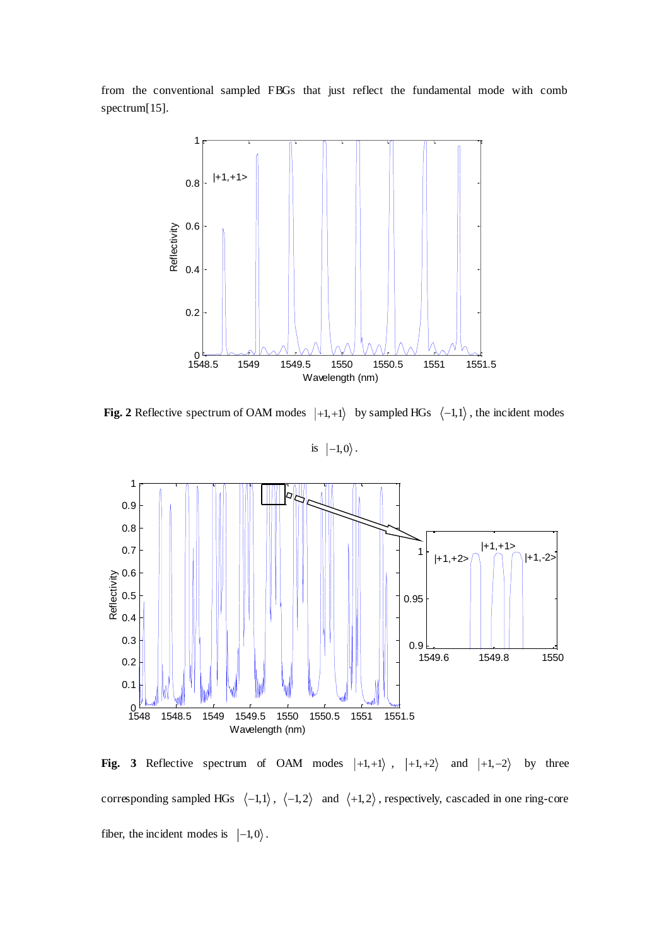from the conventional sampled FBGs that just reflect the fundamental mode with comb spectrum[15].



**Fig. 2** Reflective spectrum of OAM modes  $|+1,+1\rangle$  by sampled HGs  $\langle -1,1\rangle$ , the incident modes

is  $|-1,0\rangle$ .



**Fig. 3** Reflective spectrum of OAM modes  $|+1, +1\rangle$ ,  $|+1, +2\rangle$  and  $|+1, -2\rangle$  by three corresponding sampled HGs  $\langle -1, 1 \rangle$ ,  $\langle -1, 2 \rangle$  and  $\langle +1, 2 \rangle$ , respectively, cascaded in one ring-core fiber, the incident modes is  $|-1,0\rangle$ .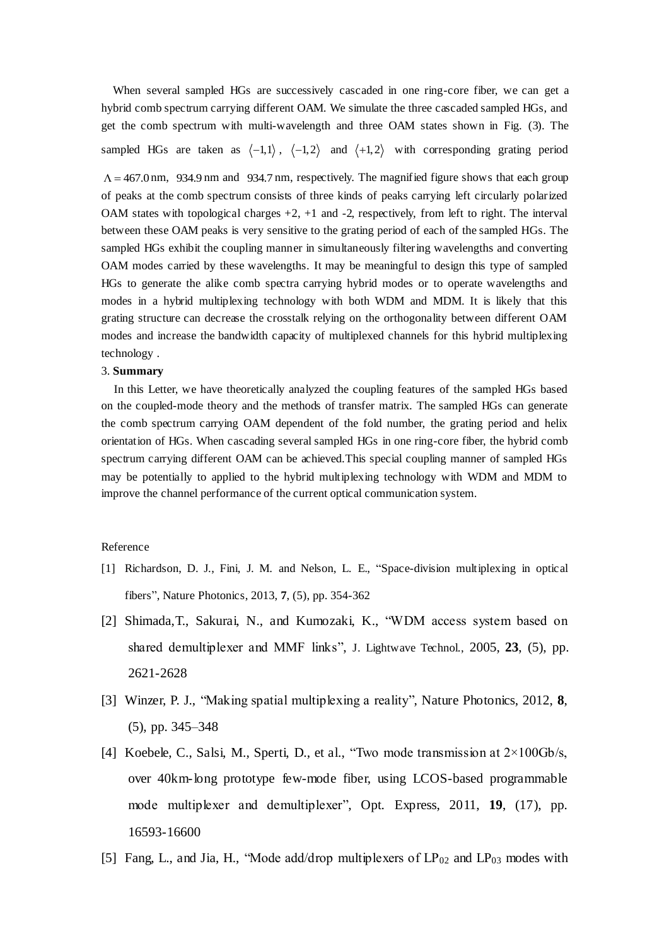When several sampled HGs are successively cascaded in one ring-core fiber, we can get a hybrid comb spectrum carrying different OAM. We simulate the three cascaded sampled HGs, and get the comb spectrum with multi-wavelength and three OAM states shown in Fig. (3). The sampled HGs are taken as  $\langle -1, 1 \rangle$ ,  $\langle -1, 2 \rangle$  and  $\langle +1, 2 \rangle$  with corresponding grating period

 $\Lambda = 467.0$  nm, 934.9 nm and 934.7 nm, respectively. The magnified figure shows that each group of peaks at the comb spectrum consists of three kinds of peaks carrying left circularly polarized OAM states with topological charges  $+2$ ,  $+1$  and  $-2$ , respectively, from left to right. The interval between these OAM peaks is very sensitive to the grating period of each of the sampled HGs. The sampled HGs exhibit the coupling manner in simultaneously filtering wavelengths and converting OAM modes carried by these wavelengths. It may be meaningful to design this type of sampled HGs to generate the alike comb spectra carrying hybrid modes or to operate wavelengths and modes in a hybrid multiplexing technology with both WDM and MDM. It is likely that this grating structure can decrease the crosstalk relying on the orthogonality between different OAM modes and increase the bandwidth capacity of multiplexed channels for this hybrid multiplexing technology .

#### 3. **Summary**

 In this Letter, we have theoretically analyzed the coupling features of the sampled HGs based on the coupled-mode theory and the methods of transfer matrix. The sampled HGs can generate the comb spectrum carrying OAM dependent of the fold number, the grating period and helix orientation of HGs. When cascading several sampled HGs in one ring-core fiber, the hybrid comb spectrum carrying different OAM can be achieved.This special coupling manner of sampled HGs may be potentially to applied to the hybrid multiplexing technology with WDM and MDM to improve the channel performance of the current optical communication system.

### Reference

- [1] Richardson, D. J., Fini, J. M. and Nelson, L. E., "Space-division multiplexing in optical fibers", Nature Photonics, 2013, **7**, (5), pp. 354-362
- [2] Shimada,T., Sakurai, N., and Kumozaki, K., "WDM access system based on shared demultiplexer and MMF links", J. Lightwave Technol., 2005, **23**, (5), pp. 2621-2628
- [3] Winzer, P. J., "Making spatial multiplexing a reality", Nature Photonics, 2012, **8**, (5), pp. 345–348
- [4] Koebele, C., Salsi, M., Sperti, D., et al., "Two mode transmission at  $2\times100\text{Gb/s}$ , over 40km-long prototype few-mode fiber, using LCOS-based programmable mode multiplexer and demultiplexer", Opt. Express, 2011, **19**, (17), pp. 16593-16600
- [5] Fang, L., and Jia, H., "Mode add/drop multiplexers of LP<sup>02</sup> and LP<sup>03</sup> modes with